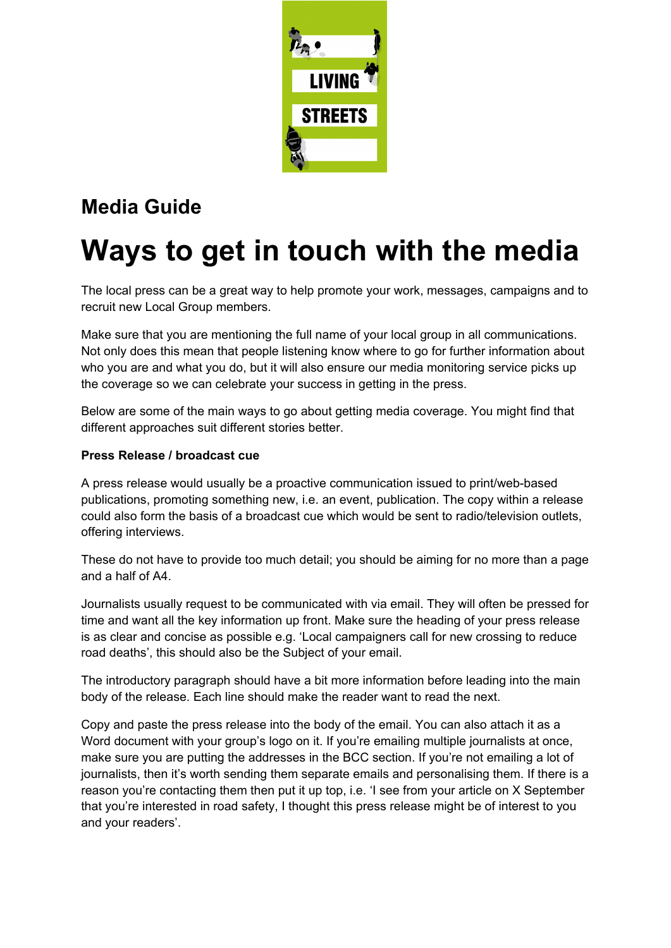

# **Media Guide**

# **Ways to get in touch with the media**

The local press can be a great way to help promote your work, messages, campaigns and to recruit new Local Group members.

Make sure that you are mentioning the full name of your local group in all communications. Not only does this mean that people listening know where to go for further information about who you are and what you do, but it will also ensure our media monitoring service picks up the coverage so we can celebrate your success in getting in the press.

Below are some of the main ways to go about getting media coverage. You might find that different approaches suit different stories better.

## **Press Release / broadcast cue**

A press release would usually be a proactive communication issued to print/web-based publications, promoting something new, i.e. an event, publication. The copy within a release could also form the basis of a broadcast cue which would be sent to radio/television outlets, offering interviews.

These do not have to provide too much detail; you should be aiming for no more than a page and a half of A4.

Journalists usually request to be communicated with via email. They will often be pressed for time and want all the key information up front. Make sure the heading of your press release is as clear and concise as possible e.g. 'Local campaigners call for new crossing to reduce road deaths', this should also be the Subject of your email.

The introductory paragraph should have a bit more information before leading into the main body of the release. Each line should make the reader want to read the next.

Copy and paste the press release into the body of the email. You can also attach it as a Word document with your group's logo on it. If you're emailing multiple journalists at once, make sure you are putting the addresses in the BCC section. If you're not emailing a lot of journalists, then it's worth sending them separate emails and personalising them. If there is a reason you're contacting them then put it up top, i.e. 'I see from your article on X September that you're interested in road safety, I thought this press release might be of interest to you and your readers'.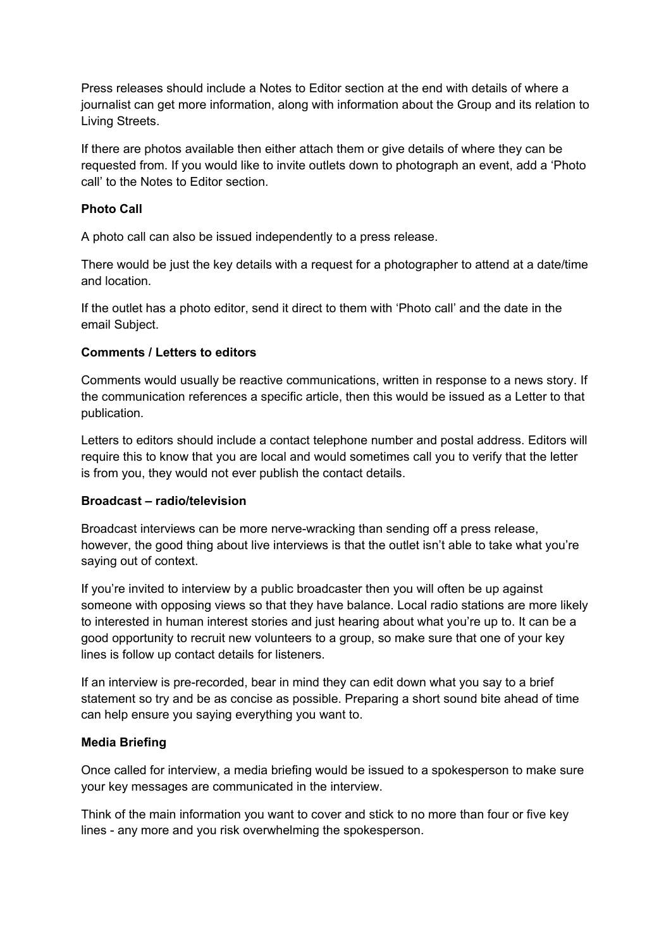Press releases should include a Notes to Editor section at the end with details of where a journalist can get more information, along with information about the Group and its relation to Living Streets.

If there are photos available then either attach them or give details of where they can be requested from. If you would like to invite outlets down to photograph an event, add a 'Photo call' to the Notes to Editor section.

### **Photo Call**

A photo call can also be issued independently to a press release.

There would be just the key details with a request for a photographer to attend at a date/time and location.

If the outlet has a photo editor, send it direct to them with 'Photo call' and the date in the email Subject.

#### **Comments / Letters to editors**

Comments would usually be reactive communications, written in response to a news story. If the communication references a specific article, then this would be issued as a Letter to that publication.

Letters to editors should include a contact telephone number and postal address. Editors will require this to know that you are local and would sometimes call you to verify that the letter is from you, they would not ever publish the contact details.

#### **Broadcast – radio/television**

Broadcast interviews can be more nerve-wracking than sending off a press release, however, the good thing about live interviews is that the outlet isn't able to take what you're saying out of context.

If you're invited to interview by a public broadcaster then you will often be up against someone with opposing views so that they have balance. Local radio stations are more likely to interested in human interest stories and just hearing about what you're up to. It can be a good opportunity to recruit new volunteers to a group, so make sure that one of your key lines is follow up contact details for listeners.

If an interview is pre-recorded, bear in mind they can edit down what you say to a brief statement so try and be as concise as possible. Preparing a short sound bite ahead of time can help ensure you saying everything you want to.

#### **Media Briefing**

Once called for interview, a media briefing would be issued to a spokesperson to make sure your key messages are communicated in the interview.

Think of the main information you want to cover and stick to no more than four or five key lines - any more and you risk overwhelming the spokesperson.